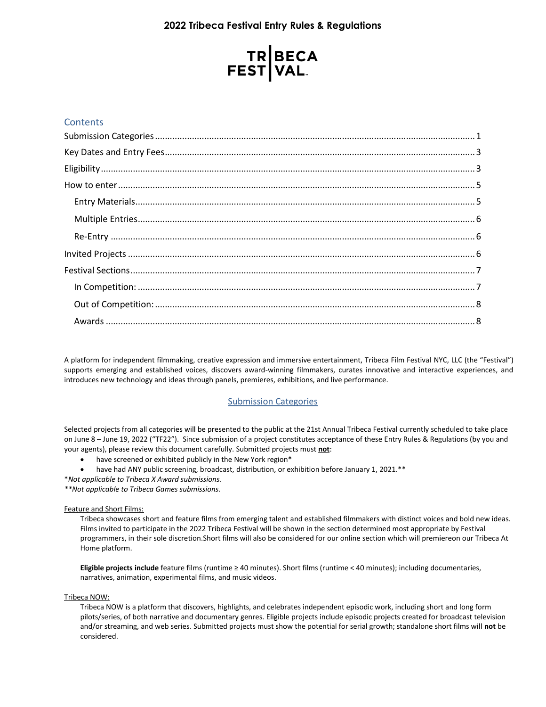# **2022 Tribeca Festival Entry Rules & Regulations**

# TR BECA<br>FEST VAL

# **Contents**

<span id="page-0-0"></span>A platform for independent filmmaking, creative expression and immersive entertainment, Tribeca Film Festival NYC, LLC (the "Festival") supports emerging and established voices, discovers award-winning filmmakers, curates innovative and interactive experiences, and introduces new technology and ideas through panels, premieres, exhibitions, and live performance.

# Submission Categories

Selected projects from all categories will be presented to the public at the 21st Annual Tribeca Festival currently scheduled to take place on June 8 – June 19, 2022 ("TF22"). Since submission of a project constitutes acceptance of these Entry Rules & Regulations (by you and your agents), please review this document carefully. Submitted projects must **not**:

- have screened or exhibited publicly in the New York region\*
- have had ANY public screening, broadcast, distribution, or exhibition before January 1, 2021.\*\*
- \**Not applicable to Tribeca X Award submissions.*

*\*\*Not applicable to Tribeca Games submissions.*

## Feature and Short Films:

Tribeca showcases short and feature films from emerging talent and established filmmakers with distinct voices and bold new ideas. Films invited to participate in the 2022 Tribeca Festival will be shown in the section determined most appropriate by Festival programmers, in their sole discretion.Short films will also be considered for our online section which will premiereon our Tribeca At Home platform.

**Eligible projects include** feature films (runtime ≥ 40 minutes). Short films (runtime < 40 minutes); including documentaries, narratives, animation, experimental films, and music videos.

## Tribeca NOW:

Tribeca NOW is a platform that discovers, highlights, and celebrates independent episodic work, including short and long form pilots/series, of both narrative and documentary genres. Eligible projects include episodic projects created for broadcast television and/or streaming, and web series. Submitted projects must show the potential for serial growth; standalone short films will **not** be considered.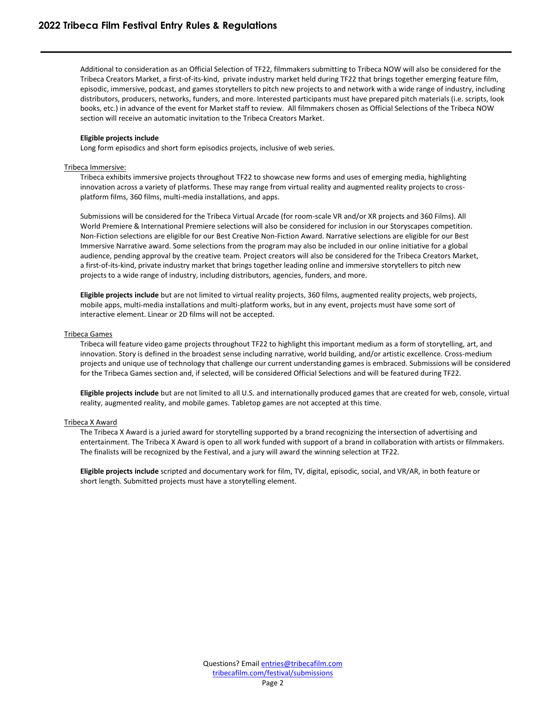Additional to consideration as an Official Selection of TF22, filmmakers submitting to Tribeca NOW will also be considered for the Tribeca Creators Market, a first-of-its-kind, private industry market held during TF22 that brings together emerging feature film, episodic, immersive, podcast, and games storytellers to pitch new projects to and network with a wide range of industry, including distributors, producers, networks, funders, and more. Interested participants must have prepared pitch materials (i.e. scripts, look books, etc.) in advance of the event for Market staff to review. All filmmakers chosen as Official Selections of the Tribeca NOW section will receive an automatic invitation to the Tribeca Creators Market.

## **Eligible projects include**

Long form episodics and short form episodics projects, inclusive of web series.

#### Tribeca Immersive:

Tribeca exhibits immersive projects throughout TF22 to showcase new forms and uses of emerging media, highlighting innovation across a variety of platforms. These may range from virtual reality and augmented reality projects to crossplatform films, 360 films, multi-media installations, and apps.

Submissions will be considered for the Tribeca Virtual Arcade (for room-scale VR and/or XR projects and 360 Films). All World Premiere & International Premiere selections will also be considered for inclusion in our Storyscapes competition. Non-Fiction selections are eligible for our Best Creative Non-Fiction Award. Narrative selections are eligible for our Best Immersive Narrative award. Some selections from the program may also be included in our online initiative for a global audience, pending approval by the creative team. Project creators will also be considered for the Tribeca Creators Market, a first-of-its-kind, private industry market that brings together leading online and immersive storytellers to pitch new projects to a wide range of industry, including distributors, agencies, funders, and more.

**Eligible projects include** but are not limited to virtual reality projects, 360 films, augmented reality projects, web projects, mobile apps, multi-media installations and multi-platform works, but in any event, projects must have some sort of interactive element. Linear or 2D films will not be accepted.

#### Tribeca Games

Tribeca will feature video game projects throughout TF22 to highlight this important medium as a form of storytelling, art, and innovation. Story is defined in the broadest sense including narrative, world building, and/or artistic excellence. Cross-medium projects and unique use of technology that challenge our current understanding games is embraced. Submissions will be considered for the Tribeca Games section and, if selected, will be considered Official Selections and will be featured during TF22.

**Eligible projects include** but are not limited to all U.S. and internationally produced games that are created for web, console, virtual reality, augmented reality, and mobile games. Tabletop games are not accepted at this time.

## Tribeca X Award

The Tribeca X Award is a juried award for storytelling supported by a brand recognizing the intersection of advertising and entertainment. The Tribeca X Award is open to all work funded with support of a brand in collaboration with artists or filmmakers. The finalists will be recognized by the Festival, and a jury will award the winning selection at TF22.

<span id="page-1-0"></span>**Eligible projects include** scripted and documentary work for film, TV, digital, episodic, social, and VR/AR, in both feature or short length. Submitted projects must have a storytelling element.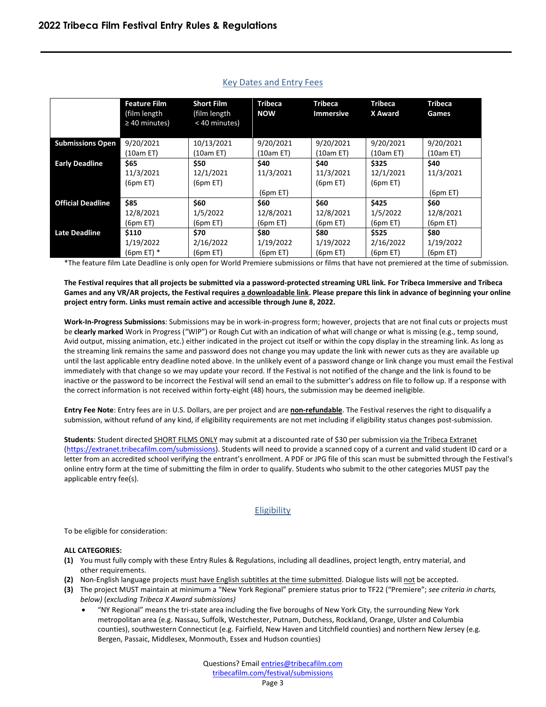|                          | <b>Feature Film</b><br>(film length<br>$\geq 40$ minutes) | <b>Short Film</b><br>(film length<br>< 40 minutes) | <b>Tribeca</b><br><b>NOW</b> | <b>Tribeca</b><br><b>Immersive</b> | <b>Tribeca</b><br>X Award | <b>Tribeca</b><br>Games |
|--------------------------|-----------------------------------------------------------|----------------------------------------------------|------------------------------|------------------------------------|---------------------------|-------------------------|
| <b>Submissions Open</b>  | 9/20/2021                                                 | 10/13/2021                                         | 9/20/2021                    | 9/20/2021                          | 9/20/2021                 | 9/20/2021               |
|                          | (10am ET)                                                 | (10am ET)                                          | (10am ET)                    | (10am ET)                          | (10am ET)                 | (10am ET)               |
| <b>Early Deadline</b>    | \$65                                                      | \$50                                               | \$40                         | \$40                               | \$325                     | \$40                    |
|                          | 11/3/2021                                                 | 12/1/2021                                          | 11/3/2021                    | 11/3/2021                          | 12/1/2021                 | 11/3/2021               |
|                          | (6pm E)                                                   | (6pm E)                                            |                              | (6pm E)                            | (6pm E)                   |                         |
|                          |                                                           |                                                    | (6pm E)                      |                                    |                           | (6pm E)                 |
| <b>Official Deadline</b> | \$85                                                      | \$60                                               | \$60                         | \$60                               | \$425                     | \$60                    |
|                          | 12/8/2021                                                 | 1/5/2022                                           | 12/8/2021                    | 12/8/2021                          | 1/5/2022                  | 12/8/2021               |
|                          | (6pm E)                                                   | (6pm E)                                            | (6pm E)                      | (6pm E)                            | (6pm E)                   | (6pm E)                 |
| <b>Late Deadline</b>     | \$110                                                     | \$70                                               | \$80                         | \$80                               | \$525                     | \$80                    |
|                          | 1/19/2022                                                 | 2/16/2022                                          | 1/19/2022                    | 1/19/2022                          | 2/16/2022                 | 1/19/2022               |
|                          | $(6pm ET)$ *                                              | (6pm E)                                            | (6pm E)                      | (6pm E)                            | (6pm E)                   | (6pm E)                 |

# Key Dates and Entry Fees

\*The feature film Late Deadline is only open for World Premiere submissions or films that have not premiered at the time of submission.

**The Festival requires that all projects be submitted via a password-protected streaming URL link. For Tribeca Immersive and Tribeca Games and any VR/AR projects, the Festival requires a downloadable link. Please prepare this link in advance of beginning your online project entry form. Links must remain active and accessible through June 8, 2022.**

**Work-In-Progress Submissions**: Submissions may be in work-in-progress form; however, projects that are not final cuts or projects must be **clearly marked** Work in Progress ("WIP") or Rough Cut with an indication of what will change or what is missing (e.g., temp sound, Avid output, missing animation, etc.) either indicated in the project cut itself or within the copy display in the streaming link. As long as the streaming link remains the same and password does not change you may update the link with newer cuts as they are available up until the last applicable entry deadline noted above. In the unlikely event of a password change or link change you must email the Festival immediately with that change so we may update your record. If the Festival is not notified of the change and the link is found to be inactive or the password to be incorrect the Festival will send an email to the submitter's address on file to follow up. If a response with the correct information is not received within forty-eight (48) hours, the submission may be deemed ineligible.

**Entry Fee Note**: Entry fees are in U.S. Dollars, are per project and are **non-refundable**. The Festival reserves the right to disqualify a submission, without refund of any kind, if eligibility requirements are not met including if eligibility status changes post-submission.

Students: Student directed SHORT FILMS ONLY may submit at a discounted rate of \$30 per submission via the Tribeca Extranet [\(https://extranet.tribecafilm.com/submissions\)](https://extranet.tribecafilm.com/submissions). Students will need to provide a scanned copy of a current and valid student ID card or a letter from an accredited school verifying the entrant's enrollment. A PDF or JPG file of this scan must be submitted through the Festival's online entry form at the time of submitting the film in order to qualify. Students who submit to the other categories MUST pay the applicable entry fee(s).

# **Eligibility**

<span id="page-2-0"></span>To be eligible for consideration:

## **ALL CATEGORIES:**

- **(1)** You must fully comply with these Entry Rules & Regulations, including all deadlines, project length, entry material, and other requirements.
- (2) Non-English language projects must have English subtitles at the time submitted. Dialogue lists will not be accepted.
- **(3)** The project MUST maintain at minimum a "New York Regional" premiere status prior to TF22 ("Premiere"; *see criteria in charts, below)* (*excluding Tribeca X Award submissions)*
	- "NY Regional" means the tri-state area including the five boroughs of New York City, the surrounding New York metropolitan area (e.g. Nassau, Suffolk, Westchester, Putnam, Dutchess, Rockland, Orange, Ulster and Columbia counties), southwestern Connecticut (e.g. Fairfield, New Haven and Litchfield counties) and northern New Jersey (e.g. Bergen, Passaic, Middlesex, Monmouth, Essex and Hudson counties)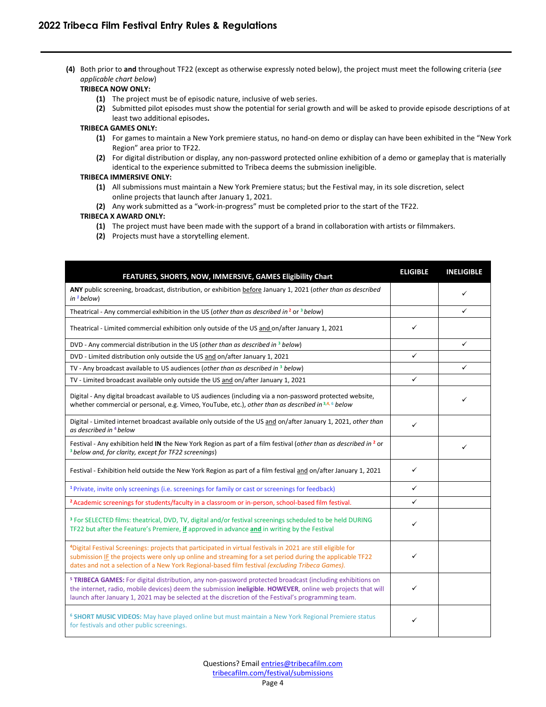**(4)** Both prior to **and** throughout TF22 (except as otherwise expressly noted below), the project must meet the following criteria (*see applicable chart below*)

## **TRIBECA NOW ONLY:**

- **(1)** The project must be of episodic nature, inclusive of web series.
- **(2)** Submitted pilot episodes must show the potential for serial growth and will be asked to provide episode descriptions of at least two additional episodes**.**

## **TRIBECA GAMES ONLY:**

- **(1)** For games to maintain a New York premiere status, no hand-on demo or display can have been exhibited in the "New York Region" area prior to TF22.
- **(2)** For digital distribution or display, any non-password protected online exhibition of a demo or gameplay that is materially identical to the experience submitted to Tribeca deems the submission ineligible.

## **TRIBECA IMMERSIVE ONLY:**

- **(1)** All submissions must maintain a New York Premiere status; but the Festival may, in its sole discretion, select online projects that launch after January 1, 2021.
- **(2)** Any work submitted as a "work-in-progress" must be completed prior to the start of the TF22.

## **TRIBECA X AWARD ONLY:**

- **(1)** The project must have been made with the support of a brand in collaboration with artists or filmmakers.
- **(2)** Projects must have a storytelling element.

| FEATURES, SHORTS, NOW, IMMERSIVE, GAMES Eligibility Chart                                                                                                                                                                                                                                                                                 | <b>ELIGIBLE</b> | <b>INELIGIBLE</b> |
|-------------------------------------------------------------------------------------------------------------------------------------------------------------------------------------------------------------------------------------------------------------------------------------------------------------------------------------------|-----------------|-------------------|
| ANY public screening, broadcast, distribution, or exhibition before January 1, 2021 (other than as described<br>$in1$ below)                                                                                                                                                                                                              |                 | ✓                 |
| Theatrical - Any commercial exhibition in the US (other than as described in <sup>2</sup> or $3$ below)                                                                                                                                                                                                                                   |                 | ✓                 |
| Theatrical - Limited commercial exhibition only outside of the US and on/after January 1, 2021                                                                                                                                                                                                                                            | ✓               |                   |
| DVD - Any commercial distribution in the US (other than as described in 3 below)                                                                                                                                                                                                                                                          |                 | ✓                 |
| DVD - Limited distribution only outside the US and on/after January 1, 2021                                                                                                                                                                                                                                                               | $\checkmark$    |                   |
| TV - Any broadcast available to US audiences (other than as described in <sup>3</sup> below)                                                                                                                                                                                                                                              |                 | ✓                 |
| TV - Limited broadcast available only outside the US and on/after January 1, 2021                                                                                                                                                                                                                                                         | ✓               |                   |
| Digital - Any digital broadcast available to US audiences (including via a non-password protected website,<br>whether commercial or personal, e.g. Vimeo, YouTube, etc.), other than as described in 3,4,6 below                                                                                                                          |                 | ✓                 |
| Digital - Limited internet broadcast available only outside of the US and on/after January 1, 2021, other than<br>as described in <sup>4</sup> below                                                                                                                                                                                      | ✓               |                   |
| Festival - Any exhibition held IN the New York Region as part of a film festival (other than as described in <sup>2</sup> or<br><sup>3</sup> below and, for clarity, except for TF22 screenings)                                                                                                                                          |                 | ✓                 |
| Festival - Exhibition held outside the New York Region as part of a film festival and on/after January 1, 2021                                                                                                                                                                                                                            | ✓               |                   |
| <sup>1</sup> Private, invite only screenings (i.e. screenings for family or cast or screenings for feedback)                                                                                                                                                                                                                              | ✓               |                   |
| <sup>2</sup> Academic screenings for students/faculty in a classroom or in-person, school-based film festival.                                                                                                                                                                                                                            | ✓               |                   |
| <sup>3</sup> For SELECTED films: theatrical, DVD, TV, digital and/or festival screenings scheduled to be held DURING<br>TF22 but after the Feature's Premiere, if approved in advance and in writing by the Festival                                                                                                                      | ✓               |                   |
| <sup>4</sup> Digital Festival Screenings: projects that participated in virtual festivals in 2021 are still eligible for<br>submission IF the projects were only up online and streaming for a set period during the applicable TF22<br>dates and not a selection of a New York Regional-based film festival (excluding Tribeca Games).   | ✓               |                   |
| <sup>5</sup> TRIBECA GAMES: For digital distribution, any non-password protected broadcast (including exhibitions on<br>the internet, radio, mobile devices) deem the submission ineligible. HOWEVER, online web projects that will<br>launch after January 1, 2021 may be selected at the discretion of the Festival's programming team. | ✓               |                   |
| <sup>6</sup> SHORT MUSIC VIDEOS: May have played online but must maintain a New York Regional Premiere status<br>for festivals and other public screenings.                                                                                                                                                                               | ✓               |                   |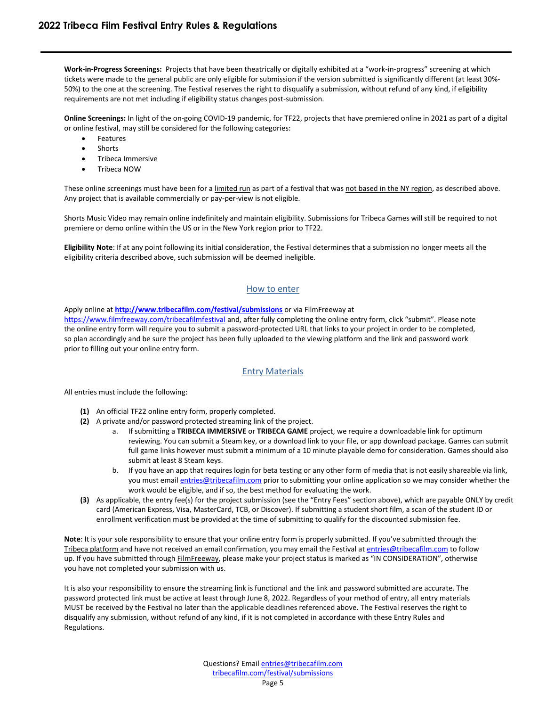**Work-in-Progress Screenings:** Projects that have been theatrically or digitally exhibited at a "work-in-progress" screening at which tickets were made to the general public are only eligible for submission if the version submitted is significantly different (at least 30%- 50%) to the one at the screening. The Festival reserves the right to disqualify a submission, without refund of any kind, if eligibility requirements are not met including if eligibility status changes post-submission.

**Online Screenings:** In light of the on-going COVID-19 pandemic, for TF22, projects that have premiered online in 2021 as part of a digital or online festival, may still be considered for the following categories:

- **Features**
- **Shorts**
- Tribeca Immersive
- Tribeca NOW

These online screenings must have been for a limited run as part of a festival that was not based in the NY region, as described above. Any project that is available commercially or pay-per-view is not eligible.

Shorts Music Video may remain online indefinitely and maintain eligibility. Submissions for Tribeca Games will still be required to not premiere or demo online within the US or in the New York region prior to TF22.

<span id="page-4-0"></span>**Eligibility Note**: If at any point following its initial consideration, the Festival determines that a submission no longer meets all the eligibility criteria described above, such submission will be deemed ineligible.

## How to enter

Apply online at **<http://www.tribecafilm.com/festival/submissions>** or via FilmFreeway at

<https://www.filmfreeway.com/tribecafilmfestival> and, after fully completing the online entry form, click "submit". Please note the online entry form will require you to submit a password-protected URL that links to your project in order to be completed, so plan accordingly and be sure the project has been fully uploaded to the viewing platform and the link and password work prior to filling out your online entry form.

# Entry Materials

<span id="page-4-1"></span>All entries must include the following:

- **(1)** An official TF22 online entry form, properly completed.
- **(2)** A private and/or password protected streaming link of the project.
	- a. If submitting a **TRIBECA IMMERSIVE** or **TRIBECA GAME** project, we require a downloadable link for optimum reviewing. You can submit a Steam key, or a download link to your file, or app download package. Games can submit full game links however must submit a minimum of a 10 minute playable demo for consideration. Games should also submit at least 8 Steam keys.
	- b. If you have an app that requires login for beta testing or any other form of media that is not easily shareable via link, you must emai[l entries@tribecafilm.com](mailto:entries@tribecafilm.com) prior to submitting your online application so we may consider whether the work would be eligible, and if so, the best method for evaluating the work.
- **(3)** As applicable, the entry fee(s) for the project submission (see the "Entry Fees" section above), which are payable ONLY by credit card (American Express, Visa, MasterCard, TCB, or Discover). If submitting a student short film, a scan of the student ID or enrollment verification must be provided at the time of submitting to qualify for the discounted submission fee.

**Note**: It is your sole responsibility to ensure that your online entry form is properly submitted. If you've submitted through the Tribeca platform and have not received an email confirmation, you may email the Festival a[t entries@tribecafilm.com](mailto:entries@tribecafilm.com) to follow up. If you have submitted through FilmFreeway, please make your project status is marked as "IN CONSIDERATION", otherwise you have not completed your submission with us.

It is also your responsibility to ensure the streaming link is functional and the link and password submitted are accurate. The password protected link must be active at least through June 8, 2022. Regardless of your method of entry, all entry materials MUST be received by the Festival no later than the applicable deadlines referenced above. The Festival reserves the right to disqualify any submission, without refund of any kind, if it is not completed in accordance with these Entry Rules and Regulations.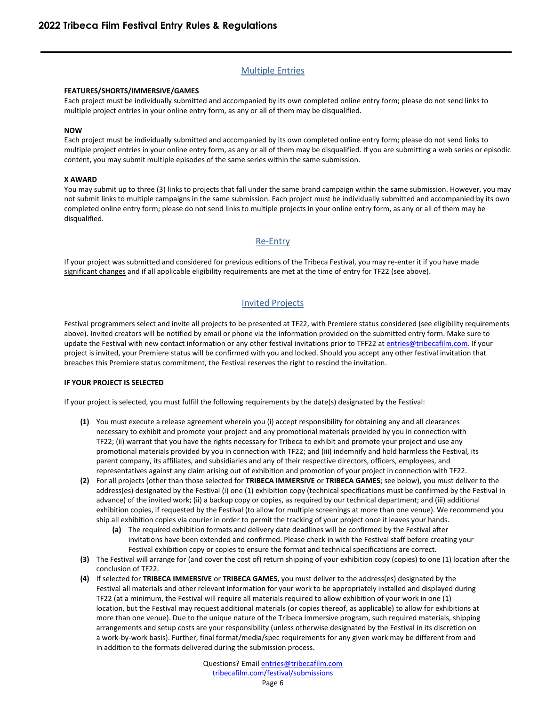# Multiple Entries

## <span id="page-5-0"></span>**FEATURES/SHORTS/IMMERSIVE/GAMES**

Each project must be individually submitted and accompanied by its own completed online entry form; please do not send links to multiple project entries in your online entry form, as any or all of them may be disqualified.

## **NOW**

Each project must be individually submitted and accompanied by its own completed online entry form; please do not send links to multiple project entries in your online entry form, as any or all of them may be disqualified. If you are submitting a web series or episodic content, you may submit multiple episodes of the same series within the same submission.

## **X AWARD**

You may submit up to three (3) links to projects that fall under the same brand campaign within the same submission. However, you may not submit links to multiple campaigns in the same submission. Each project must be individually submitted and accompanied by its own completed online entry form; please do not send links to multiple projects in your online entry form, as any or all of them may be disqualified.

## Re-Entry

<span id="page-5-2"></span><span id="page-5-1"></span>If your project was submitted and considered for previous editions of the Tribeca Festival, you may re-enter it if you have made significant changes and if all applicable eligibility requirements are met at the time of entry for TF22 (see above).

# Invited Projects

Festival programmers select and invite all projects to be presented at TF22, with Premiere status considered (see eligibility requirements above). Invited creators will be notified by email or phone via the information provided on the submitted entry form. Make sure to update the Festival with new contact information or any other festival invitations prior to TFF22 a[t entries@tribecafilm.com.](mailto:entries@tribecafilm.com) If your project is invited, your Premiere status will be confirmed with you and locked. Should you accept any other festival invitation that breaches this Premiere status commitment, the Festival reserves the right to rescind the invitation.

## **IF YOUR PROJECT IS SELECTED**

If your project is selected, you must fulfill the following requirements by the date(s) designated by the Festival:

- **(1)** You must execute a release agreement wherein you (i) accept responsibility for obtaining any and all clearances necessary to exhibit and promote your project and any promotional materials provided by you in connection with TF22; (ii) warrant that you have the rights necessary for Tribeca to exhibit and promote your project and use any promotional materials provided by you in connection with TF22; and (iii) indemnify and hold harmless the Festival, its parent company, its affiliates, and subsidiaries and any of their respective directors, officers, employees, and representatives against any claim arising out of exhibition and promotion of your project in connection with TF22.
- **(2)** For all projects (other than those selected for **TRIBECA IMMERSIVE** or **TRIBECA GAMES**; see below), you must deliver to the address(es) designated by the Festival (i) one (1) exhibition copy (technical specifications must be confirmed by the Festival in advance) of the invited work; (ii) a backup copy or copies, as required by our technical department; and (iii) additional exhibition copies, if requested by the Festival (to allow for multiple screenings at more than one venue). We recommend you ship all exhibition copies via courier in order to permit the tracking of your project once it leaves your hands.
	- **(a)** The required exhibition formats and delivery date deadlines will be confirmed by the Festival after invitations have been extended and confirmed. Please check in with the Festival staff before creating your Festival exhibition copy or copies to ensure the format and technical specifications are correct.
- **(3)** The Festival will arrange for (and cover the cost of) return shipping of your exhibition copy (copies) to one (1) location after the conclusion of TF22.
- **(4)** If selected for **TRIBECA IMMERSIVE** or **TRIBECA GAMES**, you must deliver to the address(es) designated by the Festival all materials and other relevant information for your work to be appropriately installed and displayed during TF22 (at a minimum, the Festival will require all materials required to allow exhibition of your work in one (1) location, but the Festival may request additional materials (or copies thereof, as applicable) to allow for exhibitions at more than one venue). Due to the unique nature of the Tribeca Immersive program, such required materials, shipping arrangements and setup costs are your responsibility (unless otherwise designated by the Festival in its discretion on a work-by-work basis). Further, final format/media/spec requirements for any given work may be different from and in addition to the formats delivered during the submission process.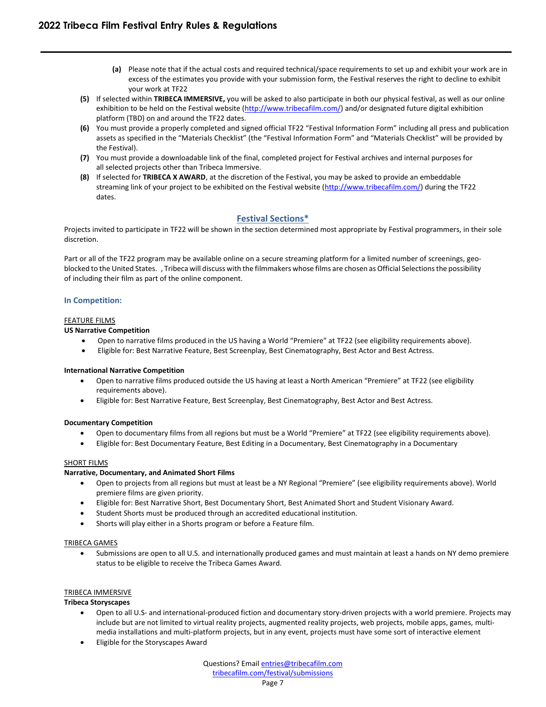- **(a)** Please note that if the actual costs and required technical/space requirements to set up and exhibit your work are in excess of the estimates you provide with your submission form, the Festival reserves the right to decline to exhibit your work at TF22
- **(5)** If selected within **TRIBECA IMMERSIVE,** you will be asked to also participate in both our physical festival, as well as our online exhibition to be held on the Festival website [\(http://www.tribecafilm.com/\)](http://www.tribecafilm.com/) and/or designated future digital exhibition platform (TBD) on and around the TF22 dates.
- **(6)** You must provide a properly completed and signed official TF22 "Festival Information Form" including all press and publication assets as specified in the "Materials Checklist" (the "Festival Information Form" and "Materials Checklist" will be provided by the Festival).
- **(7)** You must provide a downloadable link of the final, completed project for Festival archives and internal purposes for all selected projects other than Tribeca Immersive.
- **(8)** If selected for **TRIBECA X AWARD**, at the discretion of the Festival, you may be asked to provide an embeddable streaming link of your project to be exhibited on the Festival website [\(http://www.tribecafilm.com/\)](http://www.tribecafilm.com/) during the TF22 dates.

# **Festival Sections\***

<span id="page-6-0"></span>Projects invited to participate in TF22 will be shown in the section determined most appropriate by Festival programmers, in their sole discretion.

Part or all of the TF22 program may be available online on a secure streaming platform for a limited number of screenings, geoblocked to the United States. , Tribeca will discuss with the filmmakers whose films are chosen as Official Selections the possibility of including their film as part of the online component.

## <span id="page-6-1"></span>**In Competition:**

## FEATURE FILMS

## **US Narrative Competition**

- Open to narrative films produced in the US having a World "Premiere" at TF22 (see eligibility requirements above).
- Eligible for: Best Narrative Feature, Best Screenplay, Best Cinematography, Best Actor and Best Actress.

## **International Narrative Competition**

- Open to narrative films produced outside the US having at least a North American "Premiere" at TF22 (see eligibility requirements above).
- Eligible for: Best Narrative Feature, Best Screenplay, Best Cinematography, Best Actor and Best Actress.

## **Documentary Competition**

- Open to documentary films from all regions but must be a World "Premiere" at TF22 (see eligibility requirements above).
- Eligible for: Best Documentary Feature, Best Editing in a Documentary, Best Cinematography in a Documentary

## SHORT FILMS

## **Narrative, Documentary, and Animated Short Films**

- Open to projects from all regions but must at least be a NY Regional "Premiere" (see eligibility requirements above). World premiere films are given priority.
- Eligible for: Best Narrative Short, Best Documentary Short, Best Animated Short and Student Visionary Award.
- Student Shorts must be produced through an accredited educational institution.
- Shorts will play either in a Shorts program or before a Feature film.

## TRIBECA GAMES

• Submissions are open to all U.S. and internationally produced games and must maintain at least a hands on NY demo premiere status to be eligible to receive the Tribeca Games Award.

## TRIBECA IMMERSIVE

## **Tribeca Storyscapes**

- Open to all U.S- and international-produced fiction and documentary story-driven projects with a world premiere. Projects may include but are not limited to virtual reality projects, augmented reality projects, web projects, mobile apps, games, multimedia installations and multi-platform projects, but in any event, projects must have some sort of interactive element
- Eligible for the Storyscapes Award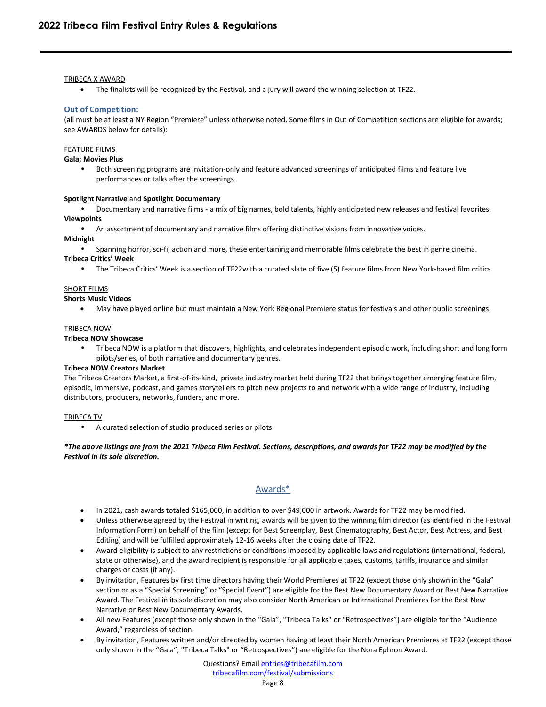## TRIBECA X AWARD

• The finalists will be recognized by the Festival, and a jury will award the winning selection at TF22.

## <span id="page-7-0"></span>**Out of Competition:**

(all must be at least a NY Region "Premiere" unless otherwise noted. Some films in Out of Competition sections are eligible for awards; see AWARDS below for details):

## FEATURE FILMS

**Gala; Movies Plus**

• Both screening programs are invitation-only and feature advanced screenings of anticipated films and feature live performances or talks after the screenings.

#### **Spotlight Narrative** and **Spotlight Documentary**

• Documentary and narrative films - a mix of big names, bold talents, highly anticipated new releases and festival favorites.

## **Viewpoints**

• An assortment of documentary and narrative films offering distinctive visions from innovative voices.

## **Midnight**

• Spanning horror, sci-fi, action and more, these entertaining and memorable films celebrate the best in genre cinema.

## **Tribeca Critics' Week**

• The Tribeca Critics' Week is a section of TF22with a curated slate of five (5) feature films from New York-based film critics.

#### SHORT FILMS

#### **Shorts Music Videos**

• May have played online but must maintain a New York Regional Premiere status for festivals and other public screenings.

## TRIBECA NOW

**Tribeca NOW Showcase**

• Tribeca NOW is a platform that discovers, highlights, and celebrates independent episodic work, including short and long form pilots/series, of both narrative and documentary genres.

## **Tribeca NOW Creators Market**

The Tribeca Creators Market, a first-of-its-kind, private industry market held during TF22 that brings together emerging feature film, episodic, immersive, podcast, and games storytellers to pitch new projects to and network with a wide range of industry, including distributors, producers, networks, funders, and more.

## TRIBECA TV

• A curated selection of studio produced series or pilots

*\*The above listings are from the 2021 Tribeca Film Festival. Sections, descriptions, and awards for TF22 may be modified by the Festival in its sole discretion.* 

# Awards\*

- <span id="page-7-1"></span>• In 2021, cash awards totaled \$165,000, in addition to over \$49,000 in artwork. Awards for TF22 may be modified.
- Unless otherwise agreed by the Festival in writing, awards will be given to the winning film director (as identified in the Festival Information Form) on behalf of the film (except for Best Screenplay, Best Cinematography, Best Actor, Best Actress, and Best Editing) and will be fulfilled approximately 12-16 weeks after the closing date of TF22.
- Award eligibility is subject to any restrictions or conditions imposed by applicable laws and regulations (international, federal, state or otherwise), and the award recipient is responsible for all applicable taxes, customs, tariffs, insurance and similar charges or costs (if any).
- By invitation, Features by first time directors having their World Premieres at TF22 (except those only shown in the "Gala" section or as a "Special Screening" or "Special Event") are eligible for the Best New Documentary Award or Best New Narrative Award. The Festival in its sole discretion may also consider North American or International Premieres for the Best New Narrative or Best New Documentary Awards.
- All new Features (except those only shown in the "Gala", "Tribeca Talks" or "Retrospectives") are eligible for the "Audience Award," regardless of section.
- By invitation, Features written and/or directed by women having at least their North American Premieres at TF22 (except those only shown in the "Gala", "Tribeca Talks" or "Retrospectives") are eligible for the Nora Ephron Award.